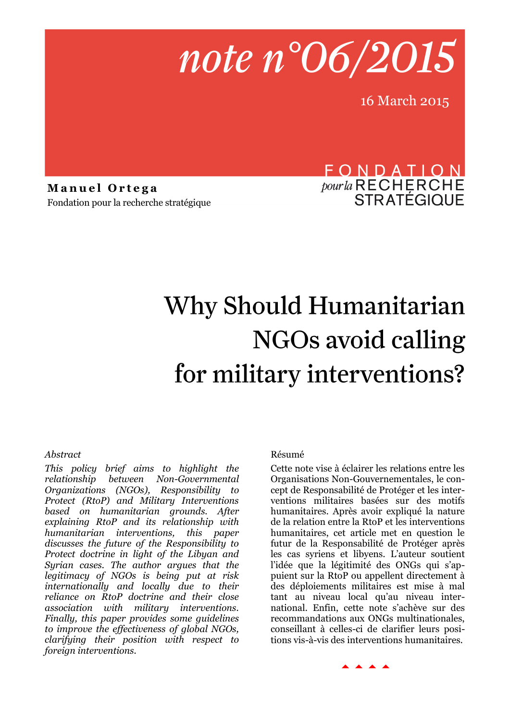

16 March 2015

**Manuel Ortega** Fondation pour la recherche stratégique

# FONDATION *pour la* RECHERCHE<br>STRATÉGIQUE

# Why Should Humanitarian NGOs avoid calling for military interventions?

# *Abstract*

*This policy brief aims to highlight the relationship between Non-Governmental Organizations (NGOs), Responsibility to Protect (RtoP) and Military Interventions based on humanitarian grounds. After explaining RtoP and its relationship with humanitarian interventions, this paper discusses the future of the Responsibility to Protect doctrine in light of the Libyan and Syrian cases. The author argues that the legitimacy of NGOs is being put at risk internationally and locally due to their reliance on RtoP doctrine and their close association with military interventions. Finally, this paper provides some guidelines to improve the effectiveness of global NGOs, clarifying their position with respect to foreign interventions.*

# Résumé

Cette note vise à éclairer les relations entre les Organisations Non-Gouvernementales, le concept de Responsabilité de Protéger et les interventions militaires basées sur des motifs humanitaires. Après avoir expliqué la nature de la relation entre la RtoP et les interventions humanitaires, cet article met en question le futur de la Responsabilité de Protéger après les cas syriens et libyens. L'auteur soutient l'idée que la légitimité des ONGs qui s'appuient sur la RtoP ou appellent directement à des déploiements militaires est mise à mal tant au niveau local qu'au niveau international. Enfin, cette note s'achève sur des recommandations aux ONGs multinationales, conseillant à celles-ci de clarifier leurs positions vis-à-vis des interventions humanitaires.

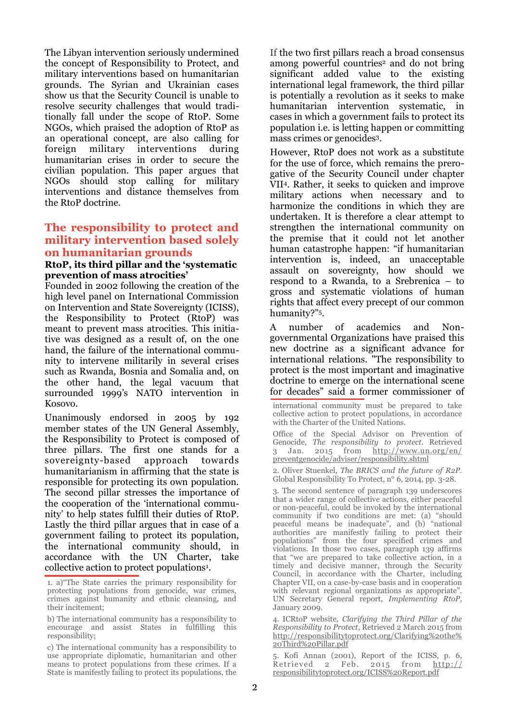The Libyan intervention seriously undermined the concept of Responsibility to Protect, and military interventions based on humanitarian grounds. The Syrian and Ukrainian cases show us that the Security Council is unable to resolve security challenges that would traditionally fall under the scope of RtoP. Some NGOs, which praised the adoption of RtoP as an operational concept, are also calling for foreign military interventions during humanitarian crises in order to secure the civilian population. This paper argues that NGOs should stop calling for military interventions and distance themselves from the RtoP doctrine.

# **The responsibility to protect and military intervention based solely on humanitarian grounds**

#### **RtoP, its third pillar and the 'systematic prevention of mass atrocities'**

Founded in 2002 following the creation of the high level panel on International Commission on Intervention and State Sovereignty (ICISS), the Responsibility to Protect (RtoP) was meant to prevent mass atrocities. This initiative was designed as a result of, on the one hand, the failure of the international community to intervene militarily in several crises such as Rwanda, Bosnia and Somalia and, on the other hand, the legal vacuum that surrounded 1999's NATO intervention in Kosovo.

Unanimously endorsed in 2005 by 192 member states of the UN General Assembly, the Responsibility to Protect is composed of three pillars. The first one stands for a sovereignty-based approach towards humanitarianism in affirming that the state is responsible for protecting its own population. The second pillar stresses the importance of the cooperation of the 'international community' to help states fulfill their duties of RtoP. Lastly the third pillar argues that in case of a government failing to protect its population, the international community should, in accordance with the UN Charter, take collective action to protect populations<sup>1</sup>.

If the two first pillars reach a broad consensus among powerful countries<sup>2</sup> and do not bring significant added value to the existing international legal framework, the third pillar is potentially a revolution as it seeks to make humanitarian intervention systematic, in cases in which a government fails to protect its population i.e. is letting happen or committing mass crimes or genocides3.

However, RtoP does not work as a substitute for the use of force, which remains the prerogative of the Security Council under chapter VII4. Rather, it seeks to quicken and improve military actions when necessary and to harmonize the conditions in which they are undertaken. It is therefore a clear attempt to strengthen the international community on the premise that it could not let another human catastrophe happen: "if humanitarian intervention is, indeed, an unacceptable assault on sovereignty, how should we respond to a Rwanda, to a Srebrenica – to gross and systematic violations of human rights that affect every precept of our common humanity?"5.

A number of academics and Nongovernmental Organizations have praised this new doctrine as a significant advance for international relations*.* "The responsibility to protect is the most important and imaginative doctrine to emerge on the international scene for decades" said a former commissioner of

international community must be prepared to take collective action to protect populations, in accordance with the Charter of the United Nations.

Office of the Special Advisor on Prevention of Genocide, *The responsibility to protect*. Retrieved 3 Jan. 2015 from [http://www.un.org/en/](http://www.un.org/en/preventgenocide/adviser/responsibility.shtml) [preventgenocide/adviser/responsibility.shtml](http://www.un.org/en/preventgenocide/adviser/responsibility.shtml)

2. Oliver Stuenkel, *The BRICS and the future of R2P.* Global Responsibility To Protect, n° 6, 2014, pp. 3-28.

3. The second sentence of paragraph 139 underscores that a wider range of collective actions, either peaceful or non-peaceful, could be invoked by the international community if two conditions are met: (a) "should peaceful means be inadequate", and (b) "national authorities are manifestly failing to protect their populations" from the four specified crimes and violations. In those two cases, paragraph 139 affirms that "we are prepared to take collective action, in a timely and decisive manner, through the Security Council, in accordance with the Charter, including Chapter VII, on a case-by-case basis and in cooperation with relevant regional organizations as appropriate". UN Secretary General report*, Implementing RtoP,* January 2009.

4. ICRtoP website*, Clarifying the Third Pillar of the Responsibility to Protect*, Retrieved 2 March 2015 from [http://responsibilitytoprotect.org/Clarifying%20the%](http://responsibilitytoprotect.org/Clarifying%20the%20Third%20Pillar.pdf) [20Third%20Pillar.pdf](http://responsibilitytoprotect.org/Clarifying%20the%20Third%20Pillar.pdf)

5. Kofi Annan (2001), Report of the ICISS, p. 6, Retrieved 2 Feb. 2015 from  $\frac{http://}{http://}$ [responsibilitytoprotect.org/ICISS%20Report.pdf](http://responsibilitytoprotect.org/ICISS%20Report.pdf)

<sup>1.</sup> a)"The State carries the primary responsibility for protecting populations from genocide, war crimes, crimes against humanity and ethnic cleansing, and their incitement;

b) The international community has a responsibility to encourage and assist States in fulfilling this responsibility;

c) The international community has a responsibility to use appropriate diplomatic, humanitarian and other means to protect populations from these crimes. If a State is manifestly failing to protect its populations, the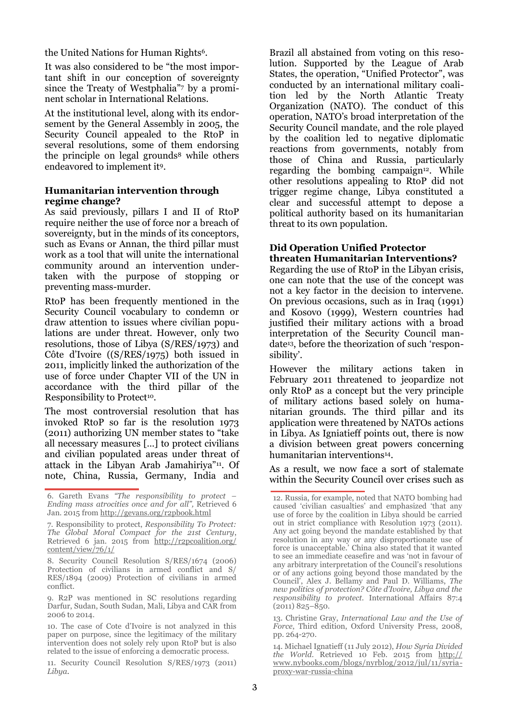the United Nations for Human Rights6.

It was also considered to be "the most important shift in our conception of sovereignty since the Treaty of Westphalia"<sup>7</sup> by a prominent scholar in International Relations.

At the institutional level, along with its endorsement by the General Assembly in 2005, the Security Council appealed to the RtoP in several resolutions, some of them endorsing the principle on legal grounds<sup>8</sup> while others endeavored to implement it9.

# **Humanitarian intervention through regime change?**

As said previously, pillars I and II of RtoP require neither the use of force nor a breach of sovereignty, but in the minds of its conceptors, such as Evans or Annan, the third pillar must work as a tool that will unite the international community around an intervention undertaken with the purpose of stopping or preventing mass-murder.

RtoP has been frequently mentioned in the Security Council vocabulary to condemn or draw attention to issues where civilian populations are under threat. However, only two resolutions, those of Libya (S/RES/1973) and Côte d'Ivoire ((S/RES/1975) both issued in 2011, implicitly linked the authorization of the use of force under Chapter VII of the UN in accordance with the third pillar of the Responsibility to Protect<sup>10</sup>.

The most controversial resolution that has invoked RtoP so far is the resolution 1973 (2011) authorizing UN member states to "take all necessary measures […] to protect civilians and civilian populated areas under threat of attack in the Libyan Arab Jamahiriya"11. Of note, China, Russia, Germany, India and Brazil all abstained from voting on this resolution. Supported by the League of Arab States, the operation, "Unified Protector", was conducted by an international military coalition led by the North Atlantic Treaty Organization (NATO). The conduct of this operation, NATO's broad interpretation of the Security Council mandate, and the role played by the coalition led to negative diplomatic reactions from governments, notably from those of China and Russia, particularly regarding the bombing campaign<sup>12</sup>. While other resolutions appealing to RtoP did not trigger regime change, Libya constituted a clear and successful attempt to depose a political authority based on its humanitarian threat to its own population.

## **Did Operation Unified Protector threaten Humanitarian Interventions?**

Regarding the use of RtoP in the Libyan crisis, one can note that the use of the concept was not a key factor in the decision to intervene. On previous occasions, such as in Iraq (1991) and Kosovo (1999), Western countries had justified their military actions with a broad interpretation of the Security Council mandate13, before the theorization of such 'responsibility'.

However the military actions taken in February 2011 threatened to jeopardize not only RtoP as a concept but the very principle of military actions based solely on humanitarian grounds. The third pillar and its application were threatened by NATOs actions in Libya. As Igniatieff points out, there is now a division between great powers concerning humanitarian interventions14.

As a result, we now face a sort of stalemate within the Security Council over crises such as

13. Christine Gray, *International Law and the Use of Force*, Third edition, Oxford University Press, 2008, pp. 264-270.

<sup>6.</sup> Gareth Evans *"The responsibility to protect – Ending mass atrocities once and for all",* Retrieved 6 Jan. 2015 from<http://gevans.org/r2pbook.html>

<sup>7.</sup> Responsibility to protect, *Responsibility To Protect: The Global Moral Compact for the 21st Century*, Retrieved 6 jan. 2015 from [http://r2pcoalition.org/](http://r2pcoalition.org/content/view/76/1/) [content/view/76/1/](http://r2pcoalition.org/content/view/76/1/)

<sup>8.</sup> Security Council Resolution S/RES/1674 (2006) Protection of civilians in armed conflict and S/ RES/1894 (2009) Protection of civilians in armed conflict.

<sup>9.</sup> R2P was mentioned in SC resolutions regarding Darfur, Sudan, South Sudan, Mali, Libya and CAR from 2006 to 2014.

<sup>10.</sup> The case of Cote d'Ivoire is not analyzed in this paper on purpose, since the legitimacy of the military intervention does not solely rely upon RtoP but is also related to the issue of enforcing a democratic process.

<sup>11.</sup> Security Council Resolution S/RES/1973 (2011) *Libya.*

<sup>12.</sup> Russia, for example, noted that NATO bombing had caused 'civilian casualties' and emphasized 'that any use of force by the coalition in Libya should be carried out in strict compliance with Resolution 1973 (2011). Any act going beyond the mandate established by that resolution in any way or any disproportionate use of force is unacceptable.' China also stated that it wanted to see an immediate ceasefire and was 'not in favour of any arbitrary interpretation of the Council's resolutions or of any actions going beyond those mandated by the Council', Alex J. Bellamy and Paul D. Williams, *The new politics of protection? Côte d'Ivoire, Libya and the responsibility to protect.* International Affairs 87:4  $(2011)$   $825 - 850$ .

<sup>14.</sup> Michael Ignatieff (11 July 2012), *How Syria Divided the World*. Retrieved 10 Feb. 2015 from [http://](http://www.nybooks.com/blogs/nyrblog/2012/jul/11/syria-proxy-war-russia-china) [www.nybooks.com/blogs/nyrblog/2012/jul/11/syria](http://www.nybooks.com/blogs/nyrblog/2012/jul/11/syria-proxy-war-russia-china)[proxy-war-russia-china](http://www.nybooks.com/blogs/nyrblog/2012/jul/11/syria-proxy-war-russia-china)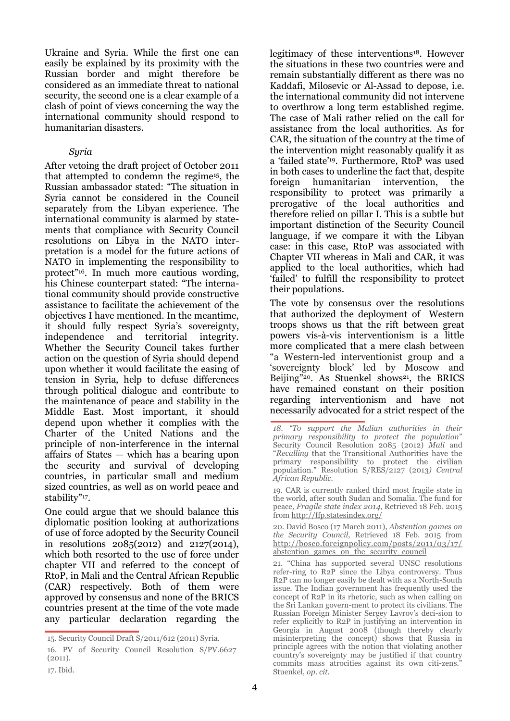Ukraine and Syria. While the first one can easily be explained by its proximity with the Russian border and might therefore be considered as an immediate threat to national security, the second one is a clear example of a clash of point of views concerning the way the international community should respond to humanitarian disasters.

# *Syria*

After vetoing the draft project of October 2011 that attempted to condemn the regime15, the Russian ambassador stated: "The situation in Syria cannot be considered in the Council separately from the Libyan experience. The international community is alarmed by statements that compliance with Security Council resolutions on Libya in the NATO interpretation is a model for the future actions of NATO in implementing the responsibility to protect"16. In much more cautious wording, his Chinese counterpart stated: "The international community should provide constructive assistance to facilitate the achievement of the objectives I have mentioned. In the meantime, it should fully respect Syria's sovereignty, independence and territorial integrity. Whether the Security Council takes further action on the question of Syria should depend upon whether it would facilitate the easing of tension in Syria, help to defuse differences through political dialogue and contribute to the maintenance of peace and stability in the Middle East. Most important, it should depend upon whether it complies with the Charter of the United Nations and the principle of non-interference in the internal affairs of States — which has a bearing upon the security and survival of developing countries, in particular small and medium sized countries, as well as on world peace and stability"<sup>17</sup> .

One could argue that we should balance this diplomatic position looking at authorizations of use of force adopted by the Security Council in resolutions 2085(2012) and 2127(2014), which both resorted to the use of force under chapter VII and referred to the concept of RtoP, in Mali and the Central African Republic (CAR) respectively. Both of them were approved by consensus and none of the BRICS countries present at the time of the vote made any particular declaration regarding the

legitimacy of these interventions18. However the situations in these two countries were and remain substantially different as there was no Kaddafi, Milosevic or Al-Assad to depose, i.e. the international community did not intervene to overthrow a long term established regime. The case of Mali rather relied on the call for assistance from the local authorities. As for CAR, the situation of the country at the time of the intervention might reasonably qualify it as a 'failed state'19. Furthermore, RtoP was used in both cases to underline the fact that, despite foreign humanitarian intervention, the responsibility to protect was primarily a prerogative of the local authorities and therefore relied on pillar I. This is a subtle but important distinction of the Security Council language, if we compare it with the Libyan case: in this case, RtoP was associated with Chapter VII whereas in Mali and CAR, it was applied to the local authorities, which had 'failed' to fulfill the responsibility to protect their populations.

The vote by consensus over the resolutions that authorized the deployment of Western troops shows us that the rift between great powers vis-à-vis interventionism is a little more complicated that a mere clash between "a Western-led interventionist group and a 'sovereignty block' led by Moscow and Beijing"<sup>20</sup>. As Stuenkel shows<sup>21</sup>, the BRICS have remained constant on their position regarding interventionism and have not necessarily advocated for a strict respect of the

20. David Bosco (17 March 2011), *Abstention games on the Security Council*, Retrieved 18 Feb. 2015 from [http://bosco.foreignpolicy.com/posts/2011/03/17/](http://bosco.foreignpolicy.com/posts/2011/03/17/abstention_games_on_the_security_council) abstention\_games\_on\_the\_security\_council

21. "China has supported several UNSC resolutions refer-ring to R2P since the Libya controversy. Thus R2P can no longer easily be dealt with as a North-South issue. The Indian government has frequently used the concept of R2P in its rhetoric, such as when calling on the Sri Lankan govern-ment to protect its civilians. The Russian Foreign Minister Sergey Lavrov's deci-sion to refer explicitly to R2P in justifying an intervention in Georgia in August 2008 (though thereby clearly misinterpreting the concept) shows that Russia in principle agrees with the notion that violating another country's sovereignty may be justified if that country commits mass atrocities against its own citi-zens. Stuenkel, *op. cit.*

<sup>15.</sup> Security Council Draft S/2011/612 (2011) Syria.

<sup>16.</sup> PV of Security Council Resolution S/PV.6627 (2011).

<sup>17.</sup> Ibid.

*<sup>18. &</sup>quot;To support the Malian authorities in their primary responsibility to protect the population*" Security Council Resolution 2085 (2012) *Mali* and "Recalling that the Transitional Authorities have the primary responsibility to protect the civilian population." Resolution S/RES/2127 (2013) Central *African Republic.*

<sup>19.</sup> CAR is currently ranked third most fragile state in the world, after south Sudan and Somalia. The fund for peace*, Fragile state index 2014*, Retrieved 18 Feb. 2015 from<http://ffp.statesindex.org/>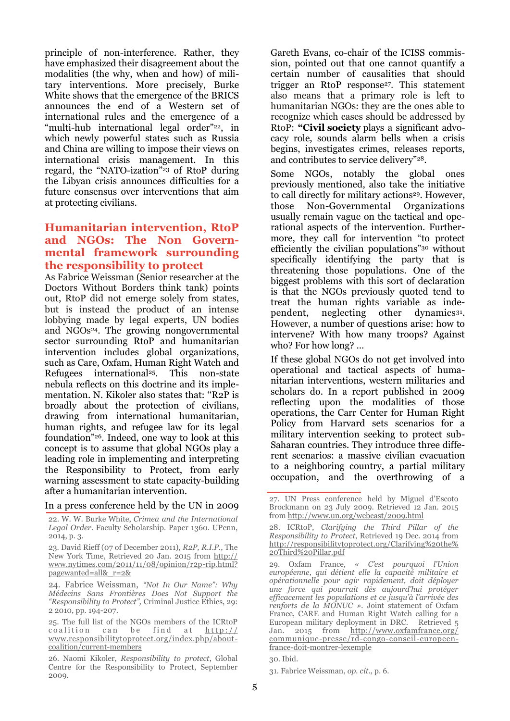principle of non-interference. Rather, they have emphasized their disagreement about the modalities (the why, when and how) of military interventions. More precisely, Burke White shows that the emergence of the BRICS announces the end of a Western set of international rules and the emergence of a "multi-hub international legal order"<sup>22</sup>, in which newly powerful states such as Russia and China are willing to impose their views on international crisis management. In this regard, the "NATO-ization"<sup>23</sup> of RtoP during the Libyan crisis announces difficulties for a future consensus over interventions that aim at protecting civilians.

# **Humanitarian intervention, RtoP and NGOs: The Non Governmental framework surrounding the responsibility to protect**

As Fabrice Weissman (Senior researcher at the Doctors Without Borders think tank) points out, RtoP did not emerge solely from states, but is instead the product of an intense lobbying made by legal experts, UN bodies and NGOs<sup>24</sup>. The growing nongovernmental sector surrounding RtoP and humanitarian intervention includes global organizations, such as Care, Oxfam, Human Right Watch and Refugees international<sup>25</sup>. This non-state nebula reflects on this doctrine and its implementation. N. Kikoler also states that: ''R2P is broadly about the protection of civilians, drawing from international humanitarian, human rights, and refugee law for its legal foundation"26. Indeed, one way to look at this concept is to assume that global NGOs play a leading role in implementing and interpreting the Responsibility to Protect, from early warning assessment to state capacity-building after a humanitarian intervention.

#### In a press conference held by the UN in 2009

22. W. W. Burke White, *Crimea and the International Legal Order*. Faculty Scholarship. Paper 1360. UPenn, 2014, p. 3.

23. David Rieff (07 of December 2011), *R2P, R.I.P.*, The New York Time, Retrieved 20 Jan. 2015 from [http://](http://www.nytimes.com/2011/11/08/opinion/r2p-rip.html?pagewanted=all&_r=2&) [www.nytimes.com/2011/11/08/opinion/r2p-rip.html?](http://www.nytimes.com/2011/11/08/opinion/r2p-rip.html?pagewanted=all&_r=2&) [pagewanted=all&\\_r=2&](http://www.nytimes.com/2011/11/08/opinion/r2p-rip.html?pagewanted=all&_r=2&)

24. Fabrice Weissman, *"Not In Our Name": Why Médecins Sans Frontières Does Not Support the "Responsibility to Protect",* Criminal Justice Ethics, 29: 2 2010, pp. 194-207.

25. The full list of the NGOs members of the ICRtoP coalition can be find at  $\frac{http://}{http://}$ [www.responsibilitytoprotect.org/index.php/about](http://www.responsibilitytoprotect.org/index.php/about-coalition/current-members)[coalition/current-members](http://www.responsibilitytoprotect.org/index.php/about-coalition/current-members)

26. Naomi Kikoler, *Responsibility to protect*, Global Centre for the Responsibility to Protect, September 2009.

Gareth Evans, co-chair of the ICISS commission, pointed out that one cannot quantify a certain number of causalities that should trigger an RtoP response<sup>27</sup> . This statement also means that a primary role is left to humanitarian NGOs: they are the ones able to recognize which cases should be addressed by RtoP: **"Civil society** plays a significant advocacy role, sounds alarm bells when a crisis begins, investigates crimes, releases reports, and contributes to service delivery"28.

Some NGOs, notably the global ones previously mentioned, also take the initiative to call directly for military actions<sup>29</sup>. However, those Non-Governmental Organizations usually remain vague on the tactical and operational aspects of the intervention. Furthermore, they call for intervention "to protect efficiently the civilian populations"<sup>30</sup> without specifically identifying the party that is threatening those populations. One of the biggest problems with this sort of declaration is that the NGOs previously quoted tend to treat the human rights variable as independent, neglecting other dynamics<sup>31</sup>. However, a number of questions arise: how to intervene? With how many troops? Against who? For how long? …

If these global NGOs do not get involved into operational and tactical aspects of humanitarian interventions, western militaries and scholars do. In a report published in 2009 reflecting upon the modalities of those operations, the Carr Center for Human Right Policy from Harvard sets scenarios for a military intervention seeking to protect sub-Saharan countries. They introduce three different scenarios: a massive civilian evacuation to a neighboring country, a partial military occupation, and the overthrowing of a

30. Ibid.

<sup>27.</sup> UN Press conference held by Miguel d'Escoto Brockmann on 23 July 2009. Retrieved 12 Jan. 2015 from <http://www.un.org/webcast/2009.html>

<sup>28.</sup> ICRtoP, *Clarifying the Third Pillar of the Responsibility to Protect*, Retrieved 19 Dec. 2014 from [http://responsibilitytoprotect.org/Clarifying%20the%](http://responsibilitytoprotect.org/Clarifying%20the%20Third%20Pillar.pdf) [20Third%20Pillar.pdf](http://responsibilitytoprotect.org/Clarifying%20the%20Third%20Pillar.pdf)

<sup>29.</sup> Oxfam France, *« C'est pourquoi l'Union européenne, qui détient elle la capacité militaire et opérationnelle pour agir rapidement, doit déployer une force qui pourrait dès aujourd'hui protéger efficacement les populations et ce jusqu'à l'arrivée des renforts de la MONUC ».* Joint statement of Oxfam France, CARE and Human Right Watch calling for a European military deployment in DRC. Retrieved 5 Jan. 2015 from [http://www.oxfamfrance.org/](http://www.oxfamfrance.org/communique-presse/rd-congo-conseil-europeen-france-doit-montrer-lexemple) [communique-presse/rd-congo-conseil-europeen](http://www.oxfamfrance.org/communique-presse/rd-congo-conseil-europeen-france-doit-montrer-lexemple)[france-doit-montrer-lexemple](http://www.oxfamfrance.org/communique-presse/rd-congo-conseil-europeen-france-doit-montrer-lexemple)

<sup>31.</sup> Fabrice Weissman, *op. cit*., p. 6.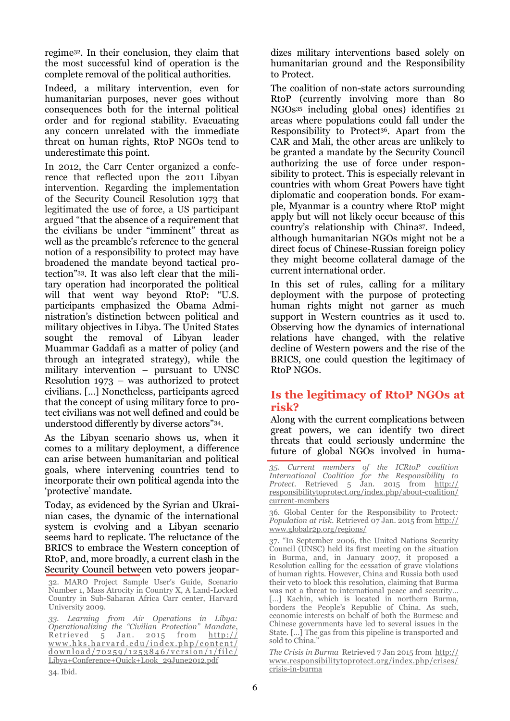regime32. In their conclusion, they claim that the most successful kind of operation is the complete removal of the political authorities.

Indeed, a military intervention, even for humanitarian purposes, never goes without consequences both for the internal political order and for regional stability. Evacuating any concern unrelated with the immediate threat on human rights, RtoP NGOs tend to underestimate this point.

In 2012, the Carr Center organized a conference that reflected upon the 2011 Libyan intervention. Regarding the implementation of the Security Council Resolution 1973 that legitimated the use of force, a US participant argued "that the absence of a requirement that the civilians be under "imminent" threat as well as the preamble's reference to the general notion of a responsibility to protect may have broadened the mandate beyond tactical protection"33. It was also left clear that the military operation had incorporated the political will that went way beyond RtoP: "U.S. participants emphasized the Obama Administration's distinction between political and military objectives in Libya. The United States sought the removal of Libyan leader Muammar Gaddafi as a matter of policy (and through an integrated strategy), while the military intervention – pursuant to UNSC Resolution 1973 – was authorized to protect civilians. […] Nonetheless, participants agreed that the concept of using military force to protect civilians was not well defined and could be understood differently by diverse actors"34.

As the Libyan scenario shows us, when it comes to a military deployment, a difference can arise between humanitarian and political goals, where intervening countries tend to incorporate their own political agenda into the 'protective' mandate.

Today, as evidenced by the Syrian and Ukrainian cases, the dynamic of the international system is evolving and a Libyan scenario seems hard to replicate. The reluctance of the BRICS to embrace the Western conception of RtoP, and, more broadly, a current clash in the Security Council between veto powers jeopar-

32. MARO Project Sample User's Guide, Scenario Number 1, Mass Atrocity in Country X, A Land-Locked Country in Sub-Saharan Africa Carr center, Harvard University 2009.

*33. Learning from Air Operations in Libya: Operationalizing the "Civilian Protection" Mandate*, Retrieved  $\overline{5}$  Jan. 2015 from http:// www.hks.harvard.edu/index.php/content/  $d$  o w n l o a  $d$  / 70 2 5 9 / 12 5 3 8 4 6 / v e r s i o n / 1 / f i l e / [Libya+Conference+Quick+Look\\_29June2012.pdf](http://www.hks.harvard.edu/index.php/content/download/70259/1253846/version/1/file/Libya+Conference+Quick+Look_29June2012.pdf)

dizes military interventions based solely on humanitarian ground and the Responsibility to Protect.

The coalition of non-state actors surrounding RtoP (currently involving more than 80 NGOs<sup>35</sup> including global ones) identifies 21 areas where populations could fall under the Responsibility to Protect36. Apart from the CAR and Mali, the other areas are unlikely to be granted a mandate by the Security Council authorizing the use of force under responsibility to protect. This is especially relevant in countries with whom Great Powers have tight diplomatic and cooperation bonds. For example, Myanmar is a country where RtoP might apply but will not likely occur because of this country's relationship with China37. Indeed, although humanitarian NGOs might not be a direct focus of Chinese-Russian foreign policy they might become collateral damage of the current international order.

In this set of rules, calling for a military deployment with the purpose of protecting human rights might not garner as much support in Western countries as it used to. Observing how the dynamics of international relations have changed, with the relative decline of Western powers and the rise of the BRICS, one could question the legitimacy of RtoP NGOs.

# **Is the legitimacy of RtoP NGOs at risk?**

Along with the current complications between great powers, we can identify two direct threats that could seriously undermine the future of global NGOs involved in huma-

*35. Current members of the ICRtoP coalition International Coalition for the Responsibility to Protect*. Retrieved 5 Jan. 2015 from [http://](http://responsibilitytoprotect.org/index.php/about-coalition/current-members) [responsibilitytoprotect.org/index.php/about-coalition/](http://responsibilitytoprotect.org/index.php/about-coalition/current-members) [current-members](http://responsibilitytoprotect.org/index.php/about-coalition/current-members)

36. Global Center for the Responsibility to Protect*: Population at risk.* Retrieved 07 Jan. 2015 from [http://](http://www.globalr2p.org/regions/) [www.globalr2p.org/regions/](http://www.globalr2p.org/regions/)

37. "In September 2006, the United Nations Security Council (UNSC) held its first meeting on the situation in Burma, and, in January 2007, it [proposed a](http://www.responsibilitytoprotect.org/index.php/crises/128-the-crisis-in-burma/793-burma-resolution-in-security-council-vetoed-by-russia-and-china-implications-for-r2p)  [Resolution c](http://www.responsibilitytoprotect.org/index.php/crises/128-the-crisis-in-burma/793-burma-resolution-in-security-council-vetoed-by-russia-and-china-implications-for-r2p)alling for the cessation of grave violations of human rights. However, China and Russia both used their veto to [block t](http://www.un.org/apps/news/story.asp?NewsID=21228)his resolution, claiming that Burma was not a threat to international peace and security… [...] Kachin, which is [located i](http://www.guideformyanmar.com/kachin.html)n northern Burma, borders the People's Republic of China. As such, [economic interests](http://www.arabnews.com/news/465441) on behalf of both the Burmese and Chinese governments have led to several issues in the State. […] The gas from this pipeline is transported [and](http://www.globalpost.com/dispatch/news/kyodo-news-international/130729/china-built-gas-pipeline-through-myanmar-operation)  [sold t](http://www.globalpost.com/dispatch/news/kyodo-news-international/130729/china-built-gas-pipeline-through-myanmar-operation)o China."

*The Crisis in Burma* Retrieved 7 Jan 2015 from [http://](http://www.responsibilitytoprotect.org/index.php/crises/crisis-in-burma) [www.responsibilitytoprotect.org/index.php/crises/](http://www.responsibilitytoprotect.org/index.php/crises/crisis-in-burma) [crisis-in-burma](http://www.responsibilitytoprotect.org/index.php/crises/crisis-in-burma)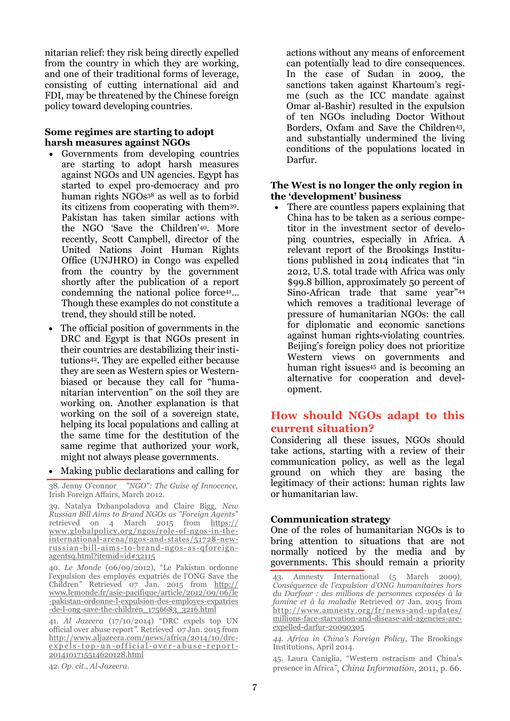nitarian relief: they risk being directly expelled from the country in which they are working, and one of their traditional forms of leverage, consisting of cutting international aid and FDI, may be threatened by the Chinese foreign policy toward developing countries.

#### **Some regimes are starting to adopt harsh measures against NGOs**

- Governments from developing countries are starting to adopt harsh measures against NGOs and UN agencies. Egypt has started to expel pro-democracy and pro human rights NGOs<sup>38</sup> as well as to forbid its citizens from cooperating with them39. Pakistan has taken similar actions with the NGO 'Save the Children'40. More recently, Scott Campbell, director of the United Nations Joint Human Rights Office (UNJHRO) in Congo was expelled from the country by the government shortly after the publication of a report condemning the national police force<sup>41</sup>... Though these examples do not constitute a trend, they should still be noted.
- The official position of governments in the DRC and Egypt is that NGOs present in their countries are destabilizing their institutions42. They are expelled either because they are seen as Western spies or Westernbiased or because they call for "humanitarian intervention" on the soil they are working on. Another explanation is that working on the soil of a sovereign state, helping its local populations and calling at the same time for the destitution of the same regime that authorized your work, might not always please governments.
- Making public declarations and calling for

39. Natalya Dzhanpoladova and Claire Bigg, *New Russian Bill Aims to Brand NGOs as "Foreign Agents"* retrieved on 4 March 2015 from [https://](https://www.globalpolicy.org/ngos/role-of-ngos-in-the-international-arena/ngos-and-states/51728-new-russian-bill-aims-to-brand-ngos-as-qforeign-agentsq.html?itemid=id#32115) [www.globalpolicy.org/ngos/role-of-ngos-in-the](https://www.globalpolicy.org/ngos/role-of-ngos-in-the-international-arena/ngos-and-states/51728-new-russian-bill-aims-to-brand-ngos-as-qforeign-agentsq.html?itemid=id#32115)[international-arena/ngos-and-states/51728-new](https://www.globalpolicy.org/ngos/role-of-ngos-in-the-international-arena/ngos-and-states/51728-new-russian-bill-aims-to-brand-ngos-as-qforeign-agentsq.html?itemid=id#32115)[russian-bill-aims-to-bra nd-ngos](https://www.globalpolicy.org/ngos/role-of-ngos-in-the-international-arena/ngos-and-states/51728-new-russian-bill-aims-to-brand-ngos-as-qforeign-agentsq.html?itemid=id#32115) -as-qforeign[agentsq.html?itemid=id#32115](https://www.globalpolicy.org/ngos/role-of-ngos-in-the-international-arena/ngos-and-states/51728-new-russian-bill-aims-to-brand-ngos-as-qforeign-agentsq.html?itemid=id#32115)

40. *Le Monde* (06/09/2012), "Le Pakistan ordonne l'expulsion des employés expatriés de l'ONG Save the Children<sup>"</sup> Retrieved 07 Jan. 2015 from [http://](http://www.lemonde.fr/asie-pacifique/article/2012/09/06/le-pakistan-ordonne-l-expulsion-des-employes-expatries-de-l-ong-save-the-children_1756683_3216.html) [www.lemonde.fr/asie-pacifique/article/2012/09/06/le](http://www.lemonde.fr/asie-pacifique/article/2012/09/06/le-pakistan-ordonne-l-expulsion-des-employes-expatries-de-l-ong-save-the-children_1756683_3216.html) [-pakistan-ordonne-l-expulsion-des-employes-expatries](http://www.lemonde.fr/asie-pacifique/article/2012/09/06/le-pakistan-ordonne-l-expulsion-des-employes-expatries-de-l-ong-save-the-children_1756683_3216.html) [-de-l-ong-save-the-children\\_1756683\\_3216.html](http://www.lemonde.fr/asie-pacifique/article/2012/09/06/le-pakistan-ordonne-l-expulsion-des-employes-expatries-de-l-ong-save-the-children_1756683_3216.html) 

41. *Al Jazeera* (17/10/2014) "DRC expels top UN official over abuse report*".* Retrieved 07 Jan. 2015 from [http://www.aljazeera.com/news/africa/2014/10/drc](http://www.aljazeera.com/news/africa/2014/10/drc-expels-top-un-official-over-abuse-report-2014101715514620128.html)expels-top-un-official-over-abuse-report-[2014101715514620128.html](http://www.aljazeera.com/news/africa/2014/10/drc-expels-top-un-official-over-abuse-report-2014101715514620128.html)

42. *Op. cit*., *Al-Jazeera*.

actions without any means of enforcement can potentially lead to dire consequences. In the case of Sudan in 2009, the sanctions taken against Khartoum's regime (such as the ICC mandate against Omar al-Bashir) resulted in the expulsion of ten NGOs including Doctor Without Borders, Oxfam and Save the Children<sup>43</sup>. and substantially undermined the living conditions of the populations located in Darfur.

#### **The West is no longer the only region in the 'development' business**

 There are countless papers explaining that China has to be taken as a serious competitor in the investment sector of developing countries, especially in Africa. A relevant report of the Brookings Institutions published in 2014 indicates that "in 2012, U.S. total trade with Africa was only \$99.8 billion, approximately 50 percent of Sino-African trade that same year"<sup>44</sup> which removes a traditional leverage of pressure of humanitarian NGOs: the call for diplomatic and economic sanctions against human rights-violating countries. Beijing's foreign policy does not prioritize Western views on governments and human right issues<sup>45</sup> and is becoming an alternative for cooperation and development.

# **How should NGOs adapt to this current situation?**

Considering all these issues, NGOs should take actions, starting with a review of their communication policy, as well as the legal ground on which they are basing the legitimacy of their actions: human rights law or humanitarian law.

# **Communication strategy**

One of the roles of humanitarian NGOs is to bring attention to situations that are not normally noticed by the media and by governments. This should remain a priority

45. Laura Caniglia, "Western ostracism and China's presence in Africa*"*, *China Information*, 2011, p. 66.

<sup>38.</sup> Jenny O'connor *"NGO": The Guise of Innocence,* Irish Foreign Affairs, March 2012.

<sup>43.</sup> Amnesty International (5 March 2009), *Conséquence de l'expulsion d'ONG humanitaires hors du Darfour : des millions de personnes exposées à la famine et à la maladie* Retrieved 07 Jan. 2015 from [http://www.amnesty.org/fr/news-and-updates/](http://www.amnesty.org/fr/news-and-updates/millions-face-starvation-and-disease-aid-agencies-are-expelled-darfur-20090305) [millions-face-starvation-and-disease-aid-agencies-are](http://www.amnesty.org/fr/news-and-updates/millions-face-starvation-and-disease-aid-agencies-are-expelled-darfur-20090305)[expelled-darfur-20090305](http://www.amnesty.org/fr/news-and-updates/millions-face-starvation-and-disease-aid-agencies-are-expelled-darfur-20090305)

*<sup>44.</sup> Africa in China's Foreign Policy*, The Brookings Institutions, April 2014.